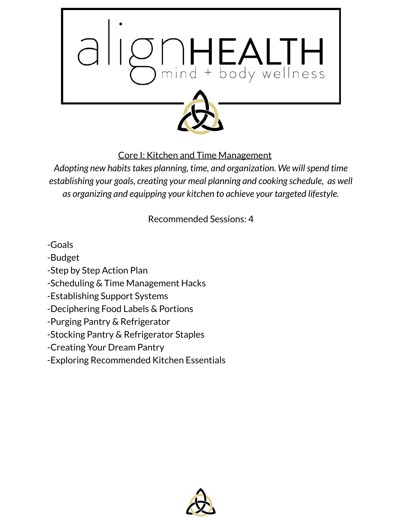

Core I: Kitchen and Time Management

*Adopting new habitstakes planning, time, and organization. We willspend time establishing your goals, creating your meal planning and cooking schedule, as well as organizing and equipping your kitchen to achieve your targeted lifestyle.*

Recommended Sessions: 4

- -Goals
- -Budget
- -Step by Step Action Plan
- -Scheduling & Time Management Hacks
- -Establishing Support Systems
- -Deciphering Food Labels & Portions
- -Purging Pantry & Refrigerator
- -Stocking Pantry & Refrigerator Staples
- -Creating Your Dream Pantry
- -Exploring Recommended Kitchen Essentials

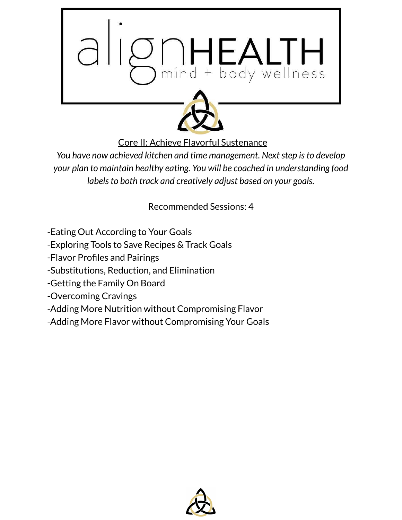

Core II: Achieve Flavorful Sustenance

*You* have now achieved kitchen and time management. Next step is to develop *your plan to maintain healthy eating. You will be coached in understanding food labelsto both track and creatively adjust based on your goals.*

Recommended Sessions: 4

- -Eating Out According to Your Goals
- -Exploring Tools to Save Recipes & Track Goals
- -Flavor Profiles and Pairings
- -Substitutions, Reduction, and Elimination
- -Getting the Family On Board
- -Overcoming Cravings
- -Adding More Nutrition without Compromising Flavor
- -Adding More Flavor without Compromising Your Goals

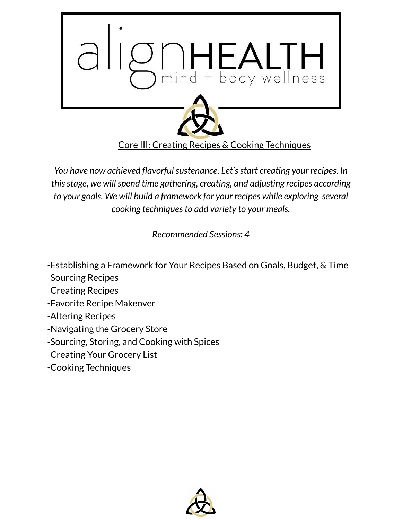

*You* have now achieved flavorful sustenance. Let's start creating your recipes. In *thisstage, we willspend time gathering, creating, and adjusting recipes according to your goals. We will build a framework for your recipes while exploring several cooking techniquesto add variety to your meals.*

*Recommended Sessions: 4*

- -Establishing a Framework for Your Recipes Based on Goals, Budget, & Time
- -Sourcing Recipes
- -Creating Recipes
- -Favorite Recipe Makeover
- -Altering Recipes
- -Navigating the Grocery Store
- -Sourcing, Storing, and Cooking with Spices
- -Creating Your Grocery List
- -Cooking Techniques